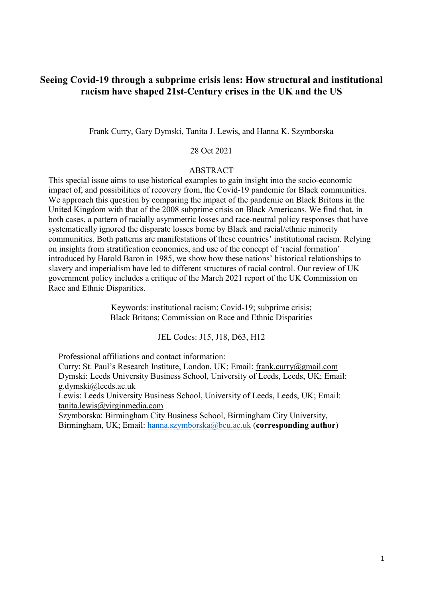## **Seeing Covid-19 through a subprime crisis lens: How structural and institutional racism have shaped 21st-Century crises in the UK and the US**

Frank Curry, Gary Dymski, Tanita J. Lewis, and Hanna K. Szymborska

## 28 Oct 2021

#### ABSTRACT

This special issue aims to use historical examples to gain insight into the socio-economic impact of, and possibilities of recovery from, the Covid-19 pandemic for Black communities. We approach this question by comparing the impact of the pandemic on Black Britons in the United Kingdom with that of the 2008 subprime crisis on Black Americans. We find that, in both cases, a pattern of racially asymmetric losses and race-neutral policy responses that have systematically ignored the disparate losses borne by Black and racial/ethnic minority communities. Both patterns are manifestations of these countries' institutional racism. Relying on insights from stratification economics, and use of the concept of 'racial formation' introduced by Harold Baron in 1985, we show how these nations' historical relationships to slavery and imperialism have led to different structures of racial control. Our review of UK government policy includes a critique of the March 2021 report of the UK Commission on Race and Ethnic Disparities.

> Keywords: institutional racism; Covid-19; subprime crisis; Black Britons; Commission on Race and Ethnic Disparities

> > JEL Codes: J15, J18, D63, H12

Professional affiliations and contact information:

Curry: St. Paul's Research Institute, London, UK; Email: [frank.curry@gmail.com](mailto:frank.curry@gmail.com) Dymski: Leeds University Business School, University of Leeds, Leeds, UK; Email: [g.dymski@leeds.ac.uk](mailto:g.dymski@leeds.ac.uk)

Lewis: Leeds University Business School, University of Leeds, Leeds, UK; Email: [tanita.lewis@virginmedia.com](mailto:tanita.lewis@virginmedia.com)

Szymborska: Birmingham City Business School, Birmingham City University, Birmingham, UK; Email: [hanna.szymborska@bcu.ac.uk](mailto:hanna.szymborska@bcu.ac.uk) (**corresponding author**)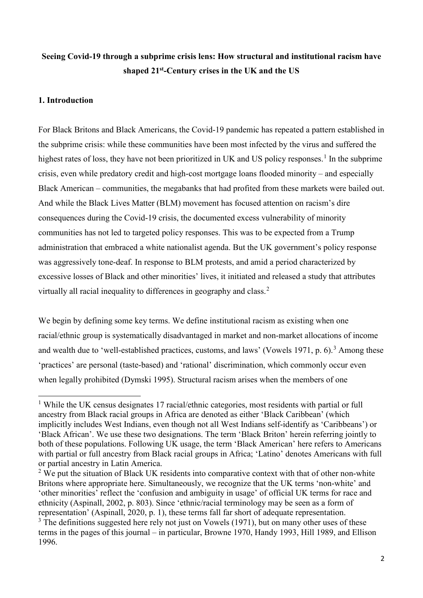# **Seeing Covid-19 through a subprime crisis lens: How structural and institutional racism have shaped 21st-Century crises in the UK and the US**

## **1. Introduction**

For Black Britons and Black Americans, the Covid-19 pandemic has repeated a pattern established in the subprime crisis: while these communities have been most infected by the virus and suffered the highest rates of loss, they have not been prioritized in UK and US policy responses.<sup>[1](#page-1-0)</sup> In the subprime crisis, even while predatory credit and high-cost mortgage loans flooded minority – and especially Black American – communities, the megabanks that had profited from these markets were bailed out. And while the Black Lives Matter (BLM) movement has focused attention on racism's dire consequences during the Covid-19 crisis, the documented excess vulnerability of minority communities has not led to targeted policy responses. This was to be expected from a Trump administration that embraced a white nationalist agenda. But the UK government's policy response was aggressively tone-deaf. In response to BLM protests, and amid a period characterized by excessive losses of Black and other minorities' lives, it initiated and released a study that attributes virtually all racial inequality to differences in geography and class.<sup>[2](#page-1-1)</sup>

We begin by defining some key terms. We define institutional racism as existing when one racial/ethnic group is systematically disadvantaged in market and non-market allocations of income and wealth due to 'well-established practices, customs, and laws' (Vowels 1971, p.  $6$ ).<sup>[3](#page-1-2)</sup> Among these 'practices' are personal (taste-based) and 'rational' discrimination, which commonly occur even when legally prohibited (Dymski 1995). Structural racism arises when the members of one

<span id="page-1-0"></span>**<sup>.</sup>** <sup>1</sup> While the UK census designates 17 racial/ethnic categories, most residents with partial or full ancestry from Black racial groups in Africa are denoted as either 'Black Caribbean' (which implicitly includes West Indians, even though not all West Indians self-identify as 'Caribbeans') or 'Black African'. We use these two designations. The term 'Black Briton' herein referring jointly to both of these populations. Following UK usage, the term 'Black American' here refers to Americans with partial or full ancestry from Black racial groups in Africa; 'Latino' denotes Americans with full or partial ancestry in Latin America.

<span id="page-1-1"></span> $2 \text{ We put the situation of Black UK residents into comparative context with that of other non-white.}$ Britons where appropriate here. Simultaneously, we recognize that the UK terms 'non-white' and 'other minorities' reflect the 'confusion and ambiguity in usage' of official UK terms for race and ethnicity (Aspinall, 2002, p. 803). Since 'ethnic/racial terminology may be seen as a form of representation' (Aspinall, 2020, p. 1), these terms fall far short of adequate representation.

<span id="page-1-2"></span> $3$  The definitions suggested here rely not just on Vowels (1971), but on many other uses of these terms in the pages of this journal – in particular, Browne 1970, Handy 1993, Hill 1989, and Ellison 1996.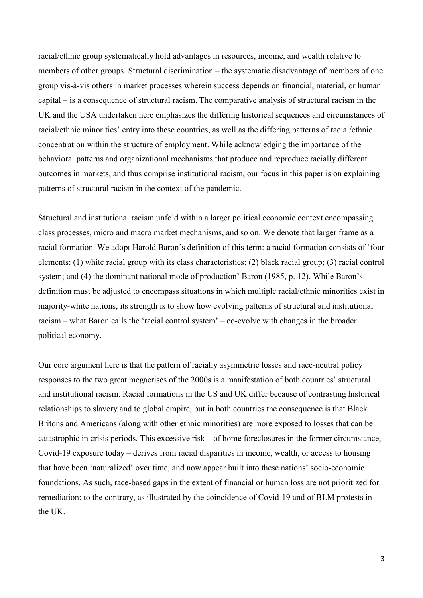racial/ethnic group systematically hold advantages in resources, income, and wealth relative to members of other groups. Structural discrimination – the systematic disadvantage of members of one group vis-à-vis others in market processes wherein success depends on financial, material, or human capital – is a consequence of structural racism. The comparative analysis of structural racism in the UK and the USA undertaken here emphasizes the differing historical sequences and circumstances of racial/ethnic minorities' entry into these countries, as well as the differing patterns of racial/ethnic concentration within the structure of employment. While acknowledging the importance of the behavioral patterns and organizational mechanisms that produce and reproduce racially different outcomes in markets, and thus comprise institutional racism, our focus in this paper is on explaining patterns of structural racism in the context of the pandemic.

Structural and institutional racism unfold within a larger political economic context encompassing class processes, micro and macro market mechanisms, and so on. We denote that larger frame as a racial formation. We adopt Harold Baron's definition of this term: a racial formation consists of 'four elements: (1) white racial group with its class characteristics; (2) black racial group; (3) racial control system; and (4) the dominant national mode of production' Baron (1985, p. 12). While Baron's definition must be adjusted to encompass situations in which multiple racial/ethnic minorities exist in majority-white nations, its strength is to show how evolving patterns of structural and institutional racism – what Baron calls the 'racial control system' – co-evolve with changes in the broader political economy.

Our core argument here is that the pattern of racially asymmetric losses and race-neutral policy responses to the two great megacrises of the 2000s is a manifestation of both countries' structural and institutional racism. Racial formations in the US and UK differ because of contrasting historical relationships to slavery and to global empire, but in both countries the consequence is that Black Britons and Americans (along with other ethnic minorities) are more exposed to losses that can be catastrophic in crisis periods. This excessive risk – of home foreclosures in the former circumstance, Covid-19 exposure today – derives from racial disparities in income, wealth, or access to housing that have been 'naturalized' over time, and now appear built into these nations' socio-economic foundations. As such, race-based gaps in the extent of financial or human loss are not prioritized for remediation: to the contrary, as illustrated by the coincidence of Covid-19 and of BLM protests in the UK.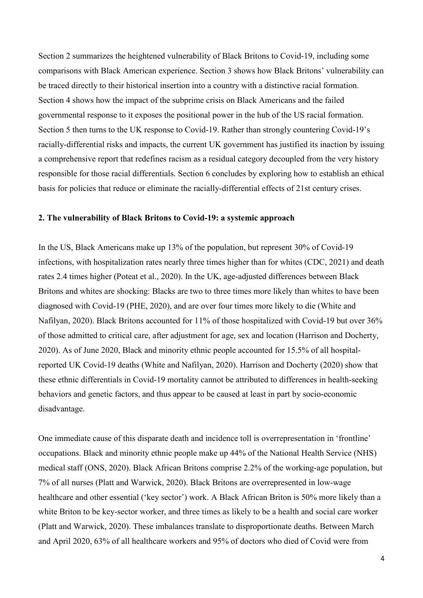Section 2 summarizes the heightened vulnerability of Black Britons to Covid-19, including some comparisons with Black American experience. Section 3 shows how Black Britons' vulnerability can be traced directly to their historical insertion into a country with a distinctive racial formation. Section 4 shows how the impact of the subprime crisis on Black Americans and the failed governmental response to it exposes the positional power in the hub of the US racial formation. Section 5 then turns to the UK response to Covid-19. Rather than strongly countering Covid-19's racially-differential risks and impacts, the current UK government has justified its inaction by issuing a comprehensive report that redefines racism as a residual category decoupled from the very history responsible for those racial differentials. Section 6 concludes by exploring how to establish an ethical basis for policies that reduce or eliminate the racially-differential effects of 21st century crises.

#### **2. The vulnerability of Black Britons to Covid-19: a systemic approach**

In the US, Black Americans make up 13% of the population, but represent 30% of Covid-19 infections, with hospitalization rates nearly three times higher than for whites (CDC, 2021) and death rates 2.4 times higher (Poteat et al., 2020). In the UK, age-adjusted differences between Black Britons and whites are shocking: Blacks are two to three times more likely than whites to have been diagnosed with Covid-19 (PHE, 2020), and are over four times more likely to die (White and Nafilyan, 2020). Black Britons accounted for 11% of those hospitalized with Covid-19 but over 36% of those admitted to critical care, after adjustment for age, sex and location (Harrison and Docherty, 2020). As of June 2020, Black and minority ethnic people accounted for 15.5% of all hospitalreported UK Covid-19 deaths (White and Nafilyan, 2020). Harrison and Docherty (2020) show that these ethnic differentials in Covid-19 mortality cannot be attributed to differences in health-seeking behaviors and genetic factors, and thus appear to be caused at least in part by socio-economic disadvantage.

One immediate cause of this disparate death and incidence toll is overrepresentation in 'frontline' occupations. Black and minority ethnic people make up 44% of the National Health Service (NHS) medical staff (ONS, 2020). Black African Britons comprise 2.2% of the working-age population, but 7% of all nurses (Platt and Warwick, 2020). Black Britons are overrepresented in low-wage healthcare and other essential ('key sector') work. A Black African Briton is 50% more likely than a white Briton to be key-sector worker, and three times as likely to be a health and social care worker (Platt and Warwick, 2020). These imbalances translate to disproportionate deaths. Between March and April 2020, 63% of all healthcare workers and 95% of doctors who died of Covid were from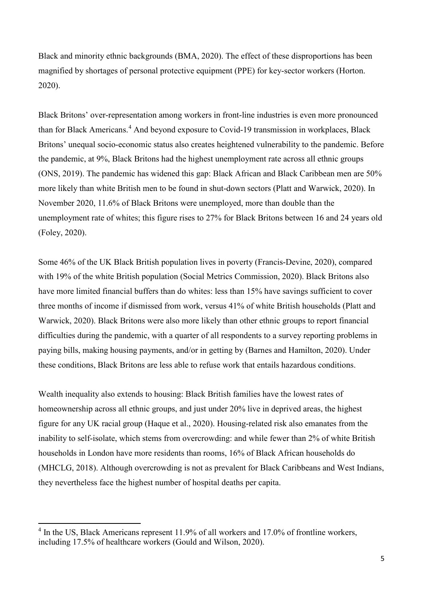Black and minority ethnic backgrounds (BMA, 2020). The effect of these disproportions has been magnified by shortages of personal protective equipment (PPE) for key-sector workers (Horton. 2020).

Black Britons' over-representation among workers in front-line industries is even more pronounced than for Black Americans.<sup>[4](#page-4-0)</sup> And beyond exposure to Covid-19 transmission in workplaces, Black Britons' unequal socio-economic status also creates heightened vulnerability to the pandemic. Before the pandemic, at 9%, Black Britons had the highest unemployment rate across all ethnic groups (ONS, 2019). The pandemic has widened this gap: Black African and Black Caribbean men are 50% more likely than white British men to be found in shut-down sectors (Platt and Warwick, 2020). In November 2020, 11.6% of Black Britons were unemployed, more than double than the unemployment rate of whites; this figure rises to 27% for Black Britons between 16 and 24 years old (Foley, 2020).

Some 46% of the UK Black British population lives in poverty (Francis-Devine, 2020), compared with 19% of the white British population (Social Metrics Commission, 2020). Black Britons also have more limited financial buffers than do whites: less than 15% have savings sufficient to cover three months of income if dismissed from work, versus 41% of white British households (Platt and Warwick, 2020). Black Britons were also more likely than other ethnic groups to report financial difficulties during the pandemic, with a quarter of all respondents to a survey reporting problems in paying bills, making housing payments, and/or in getting by (Barnes and Hamilton, 2020). Under these conditions, Black Britons are less able to refuse work that entails hazardous conditions.

Wealth inequality also extends to housing: Black British families have the lowest rates of homeownership across all ethnic groups, and just under 20% live in deprived areas, the highest figure for any UK racial group (Haque et al., 2020). Housing-related risk also emanates from the inability to self-isolate, which stems from overcrowding: and while fewer than 2% of white British households in London have more residents than rooms, 16% of Black African households do (MHCLG, 2018). Although overcrowding is not as prevalent for Black Caribbeans and West Indians, they nevertheless face the highest number of hospital deaths per capita.

 $\overline{\phantom{a}}$ 

<span id="page-4-0"></span><sup>&</sup>lt;sup>4</sup> In the US, Black Americans represent 11.9% of all workers and 17.0% of frontline workers, including 17.5% of healthcare workers (Gould and Wilson, 2020).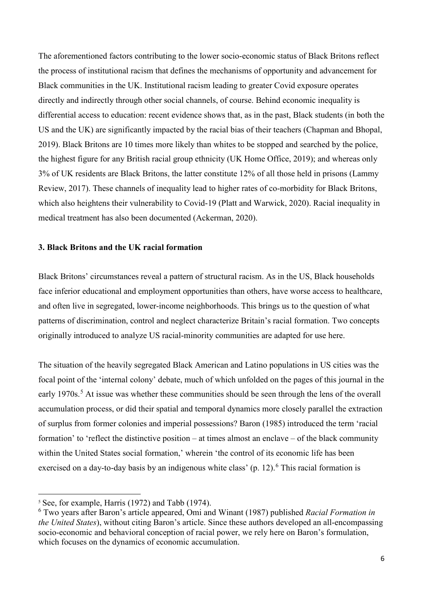The aforementioned factors contributing to the lower socio-economic status of Black Britons reflect the process of institutional racism that defines the mechanisms of opportunity and advancement for Black communities in the UK. Institutional racism leading to greater Covid exposure operates directly and indirectly through other social channels, of course. Behind economic inequality is differential access to education: recent evidence shows that, as in the past, Black students (in both the US and the UK) are significantly impacted by the racial bias of their teachers (Chapman and Bhopal, 2019). Black Britons are 10 times more likely than whites to be stopped and searched by the police, the highest figure for any British racial group ethnicity (UK Home Office, 2019); and whereas only 3% of UK residents are Black Britons, the latter constitute 12% of all those held in prisons (Lammy Review, 2017). These channels of inequality lead to higher rates of co-morbidity for Black Britons, which also heightens their vulnerability to Covid-19 (Platt and Warwick, 2020). Racial inequality in medical treatment has also been documented (Ackerman, 2020).

## **3. Black Britons and the UK racial formation**

Black Britons' circumstances reveal a pattern of structural racism. As in the US, Black households face inferior educational and employment opportunities than others, have worse access to healthcare, and often live in segregated, lower-income neighborhoods. This brings us to the question of what patterns of discrimination, control and neglect characterize Britain's racial formation. Two concepts originally introduced to analyze US racial-minority communities are adapted for use here.

The situation of the heavily segregated Black American and Latino populations in US cities was the focal point of the 'internal colony' debate, much of which unfolded on the pages of this journal in the early 1970s.<sup>[5](#page-5-0)</sup> At issue was whether these communities should be seen through the lens of the overall accumulation process, or did their spatial and temporal dynamics more closely parallel the extraction of surplus from former colonies and imperial possessions? Baron (1985) introduced the term 'racial formation' to 'reflect the distinctive position – at times almost an enclave – of the black community within the United States social formation,' wherein 'the control of its economic life has been exercised on a day-to-day basis by an indigenous white class' (p. 12).<sup>[6](#page-5-1)</sup> This racial formation is

**.** 

<span id="page-5-0"></span><sup>&</sup>lt;sup>5</sup> See, for example, Harris (1972) and Tabb (1974).

<span id="page-5-1"></span><sup>6</sup> Two years after Baron's article appeared, Omi and Winant (1987) published *Racial Formation in the United States*), without citing Baron's article. Since these authors developed an all-encompassing socio-economic and behavioral conception of racial power, we rely here on Baron's formulation, which focuses on the dynamics of economic accumulation.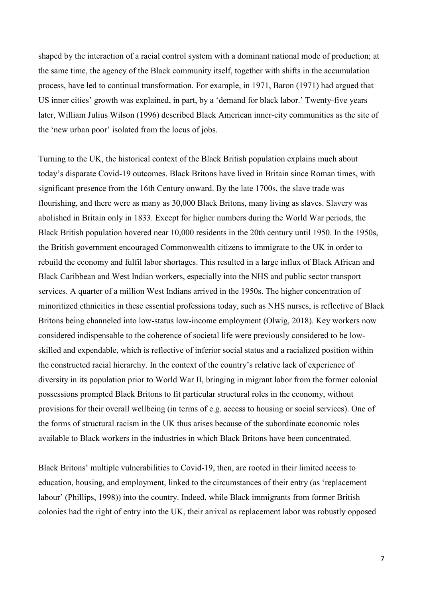shaped by the interaction of a racial control system with a dominant national mode of production; at the same time, the agency of the Black community itself, together with shifts in the accumulation process, have led to continual transformation. For example, in 1971, Baron (1971) had argued that US inner cities' growth was explained, in part, by a 'demand for black labor.' Twenty-five years later, William Julius Wilson (1996) described Black American inner-city communities as the site of the 'new urban poor' isolated from the locus of jobs.

Turning to the UK, the historical context of the Black British population explains much about today's disparate Covid-19 outcomes. Black Britons have lived in Britain since Roman times, with significant presence from the 16th Century onward. By the late 1700s, the slave trade was flourishing, and there were as many as 30,000 Black Britons, many living as slaves. Slavery was abolished in Britain only in 1833. Except for higher numbers during the World War periods, the Black British population hovered near 10,000 residents in the 20th century until 1950. In the 1950s, the British government encouraged Commonwealth citizens to immigrate to the UK in order to rebuild the economy and fulfil labor shortages. This resulted in a large influx of Black African and Black Caribbean and West Indian workers, especially into the NHS and public sector transport services. A quarter of a million West Indians arrived in the 1950s. The higher concentration of minoritized ethnicities in these essential professions today, such as NHS nurses, is reflective of Black Britons being channeled into low-status low-income employment (Olwig, 2018). Key workers now considered indispensable to the coherence of societal life were previously considered to be lowskilled and expendable, which is reflective of inferior social status and a racialized position within the constructed racial hierarchy. In the context of the country's relative lack of experience of diversity in its population prior to World War II, bringing in migrant labor from the former colonial possessions prompted Black Britons to fit particular structural roles in the economy, without provisions for their overall wellbeing (in terms of e.g. access to housing or social services). One of the forms of structural racism in the UK thus arises because of the subordinate economic roles available to Black workers in the industries in which Black Britons have been concentrated.

Black Britons' multiple vulnerabilities to Covid-19, then, are rooted in their limited access to education, housing, and employment, linked to the circumstances of their entry (as 'replacement labour' (Phillips, 1998)) into the country. Indeed, while Black immigrants from former British colonies had the right of entry into the UK, their arrival as replacement labor was robustly opposed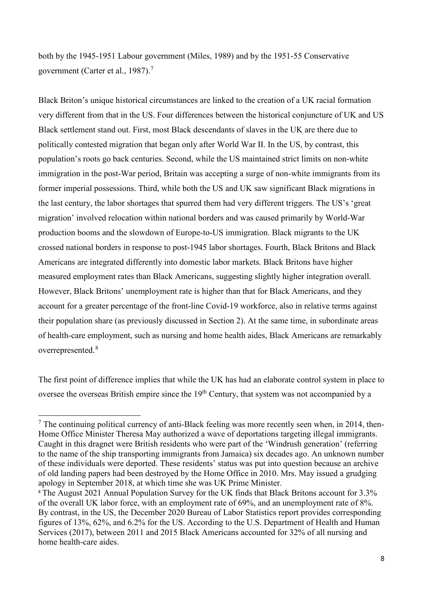both by the 1945-1951 Labour government (Miles, 1989) and by the 1951-55 Conservative government (Carter et al., 1987). [7](#page-7-0)

Black Briton's unique historical circumstances are linked to the creation of a UK racial formation very different from that in the US. Four differences between the historical conjuncture of UK and US Black settlement stand out. First, most Black descendants of slaves in the UK are there due to politically contested migration that began only after World War II. In the US, by contrast, this population's roots go back centuries. Second, while the US maintained strict limits on non-white immigration in the post-War period, Britain was accepting a surge of non-white immigrants from its former imperial possessions. Third, while both the US and UK saw significant Black migrations in the last century, the labor shortages that spurred them had very different triggers. The US's 'great migration' involved relocation within national borders and was caused primarily by World-War production booms and the slowdown of Europe-to-US immigration. Black migrants to the UK crossed national borders in response to post-1945 labor shortages. Fourth, Black Britons and Black Americans are integrated differently into domestic labor markets. Black Britons have higher measured employment rates than Black Americans, suggesting slightly higher integration overall. However, Black Britons' unemployment rate is higher than that for Black Americans, and they account for a greater percentage of the front-line Covid-19 workforce, also in relative terms against their population share (as previously discussed in Section 2). At the same time, in subordinate areas of health-care employment, such as nursing and home health aides, Black Americans are remarkably overrepresented.<sup>[8](#page-7-1)</sup>

The first point of difference implies that while the UK has had an elaborate control system in place to oversee the overseas British empire since the 19<sup>th</sup> Century, that system was not accompanied by a

<u>.</u>

<span id="page-7-0"></span> $<sup>7</sup>$  The continuing political currency of anti-Black feeling was more recently seen when, in 2014, then-</sup> Home Office Minister Theresa May authorized a wave of deportations targeting illegal immigrants. Caught in this dragnet were British residents who were part of the 'Windrush generation' (referring to the name of the ship transporting immigrants from Jamaica) six decades ago. An unknown number of these individuals were deported. These residents' status was put into question because an archive of old landing papers had been destroyed by the Home Office in 2010. Mrs. May issued a grudging apology in September 2018, at which time she was UK Prime Minister.

<span id="page-7-1"></span><sup>8</sup> The August 2021 Annual Population Survey for the UK finds that Black Britons account for 3.3% of the overall UK labor force, with an employment rate of 69%, and an unemployment rate of 8%. By contrast, in the US, the December 2020 Bureau of Labor Statistics report provides corresponding figures of 13%, 62%, and 6.2% for the US. According to the U.S. Department of Health and Human Services (2017), between 2011 and 2015 Black Americans accounted for 32% of all nursing and home health-care aides.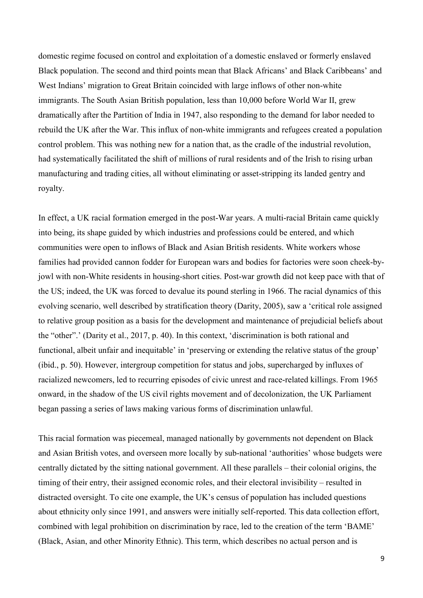domestic regime focused on control and exploitation of a domestic enslaved or formerly enslaved Black population. The second and third points mean that Black Africans' and Black Caribbeans' and West Indians' migration to Great Britain coincided with large inflows of other non-white immigrants. The South Asian British population, less than 10,000 before World War II, grew dramatically after the Partition of India in 1947, also responding to the demand for labor needed to rebuild the UK after the War. This influx of non-white immigrants and refugees created a population control problem. This was nothing new for a nation that, as the cradle of the industrial revolution, had systematically facilitated the shift of millions of rural residents and of the Irish to rising urban manufacturing and trading cities, all without eliminating or asset-stripping its landed gentry and royalty.

In effect, a UK racial formation emerged in the post-War years. A multi-racial Britain came quickly into being, its shape guided by which industries and professions could be entered, and which communities were open to inflows of Black and Asian British residents. White workers whose families had provided cannon fodder for European wars and bodies for factories were soon cheek-byjowl with non-White residents in housing-short cities. Post-war growth did not keep pace with that of the US; indeed, the UK was forced to devalue its pound sterling in 1966. The racial dynamics of this evolving scenario, well described by stratification theory (Darity, 2005), saw a 'critical role assigned to relative group position as a basis for the development and maintenance of prejudicial beliefs about the "other".' (Darity et al., 2017, p. 40). In this context, 'discrimination is both rational and functional, albeit unfair and inequitable' in 'preserving or extending the relative status of the group' (ibid., p. 50). However, intergroup competition for status and jobs, supercharged by influxes of racialized newcomers, led to recurring episodes of civic unrest and race-related killings. From 1965 onward, in the shadow of the US civil rights movement and of decolonization, the UK Parliament began passing a series of laws making various forms of discrimination unlawful.

This racial formation was piecemeal, managed nationally by governments not dependent on Black and Asian British votes, and overseen more locally by sub-national 'authorities' whose budgets were centrally dictated by the sitting national government. All these parallels – their colonial origins, the timing of their entry, their assigned economic roles, and their electoral invisibility – resulted in distracted oversight. To cite one example, the UK's census of population has included questions about ethnicity only since 1991, and answers were initially self-reported. This data collection effort, combined with legal prohibition on discrimination by race, led to the creation of the term 'BAME' (Black, Asian, and other Minority Ethnic). This term, which describes no actual person and is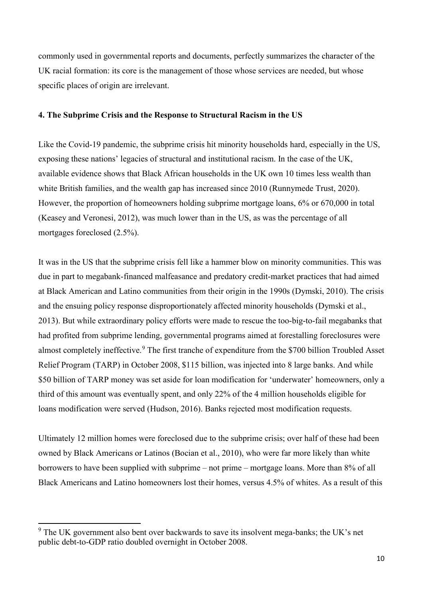commonly used in governmental reports and documents, perfectly summarizes the character of the UK racial formation: its core is the management of those whose services are needed, but whose specific places of origin are irrelevant.

#### **4. The Subprime Crisis and the Response to Structural Racism in the US**

Like the Covid-19 pandemic, the subprime crisis hit minority households hard, especially in the US, exposing these nations' legacies of structural and institutional racism. In the case of the UK, available evidence shows that Black African households in the UK own 10 times less wealth than white British families, and the wealth gap has increased since 2010 (Runnymede Trust, 2020). However, the proportion of homeowners holding subprime mortgage loans, 6% or 670,000 in total (Keasey and Veronesi, 2012), was much lower than in the US, as was the percentage of all mortgages foreclosed (2.5%).

It was in the US that the subprime crisis fell like a hammer blow on minority communities. This was due in part to megabank-financed malfeasance and predatory credit-market practices that had aimed at Black American and Latino communities from their origin in the 1990s (Dymski, 2010). The crisis and the ensuing policy response disproportionately affected minority households (Dymski et al., 2013). But while extraordinary policy efforts were made to rescue the too-big-to-fail megabanks that had profited from subprime lending, governmental programs aimed at forestalling foreclosures were almost completely ineffective.<sup>[9](#page-9-0)</sup> The first tranche of expenditure from the \$700 billion Troubled Asset Relief Program (TARP) in October 2008, \$115 billion, was injected into 8 large banks. And while \$50 billion of TARP money was set aside for loan modification for 'underwater' homeowners, only a third of this amount was eventually spent, and only 22% of the 4 million households eligible for loans modification were served (Hudson, 2016). Banks rejected most modification requests.

Ultimately 12 million homes were foreclosed due to the subprime crisis; over half of these had been owned by Black Americans or Latinos (Bocian et al., 2010), who were far more likely than white borrowers to have been supplied with subprime – not prime – mortgage loans. More than 8% of all Black Americans and Latino homeowners lost their homes, versus 4.5% of whites. As a result of this

 $\overline{\phantom{a}}$ 

<span id="page-9-0"></span><sup>&</sup>lt;sup>9</sup> The UK government also bent over backwards to save its insolvent mega-banks; the UK's net public debt-to-GDP ratio doubled overnight in October 2008.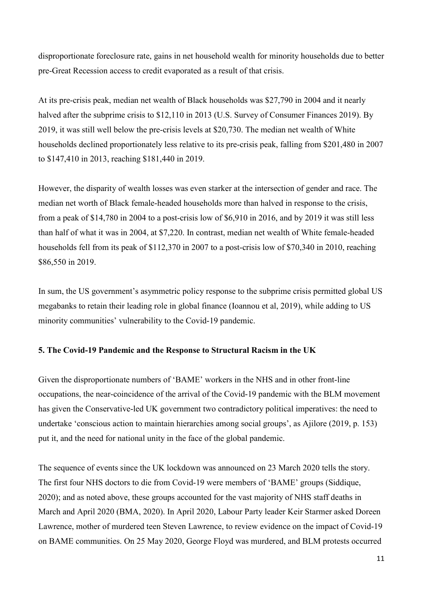disproportionate foreclosure rate, gains in net household wealth for minority households due to better pre-Great Recession access to credit evaporated as a result of that crisis.

At its pre-crisis peak, median net wealth of Black households was \$27,790 in 2004 and it nearly halved after the subprime crisis to \$12,110 in 2013 (U.S. Survey of Consumer Finances 2019). By 2019, it was still well below the pre-crisis levels at \$20,730. The median net wealth of White households declined proportionately less relative to its pre-crisis peak, falling from \$201,480 in 2007 to \$147,410 in 2013, reaching \$181,440 in 2019.

However, the disparity of wealth losses was even starker at the intersection of gender and race. The median net worth of Black female-headed households more than halved in response to the crisis, from a peak of \$14,780 in 2004 to a post-crisis low of \$6,910 in 2016, and by 2019 it was still less than half of what it was in 2004, at \$7,220. In contrast, median net wealth of White female-headed households fell from its peak of \$112,370 in 2007 to a post-crisis low of \$70,340 in 2010, reaching \$86,550 in 2019.

In sum, the US government's asymmetric policy response to the subprime crisis permitted global US megabanks to retain their leading role in global finance (Ioannou et al, 2019), while adding to US minority communities' vulnerability to the Covid-19 pandemic.

#### **5. The Covid-19 Pandemic and the Response to Structural Racism in the UK**

Given the disproportionate numbers of 'BAME' workers in the NHS and in other front-line occupations, the near-coincidence of the arrival of the Covid-19 pandemic with the BLM movement has given the Conservative-led UK government two contradictory political imperatives: the need to undertake 'conscious action to maintain hierarchies among social groups', as Ajilore (2019, p. 153) put it, and the need for national unity in the face of the global pandemic.

The sequence of events since the UK lockdown was announced on 23 March 2020 tells the story. The first four NHS doctors to die from Covid-19 were members of 'BAME' groups (Siddique, 2020); and as noted above, these groups accounted for the vast majority of NHS staff deaths in March and April 2020 (BMA, 2020). In April 2020, Labour Party leader Keir Starmer asked Doreen Lawrence, mother of murdered teen Steven Lawrence, to review evidence on the impact of Covid-19 on BAME communities. On 25 May 2020, George Floyd was murdered, and BLM protests occurred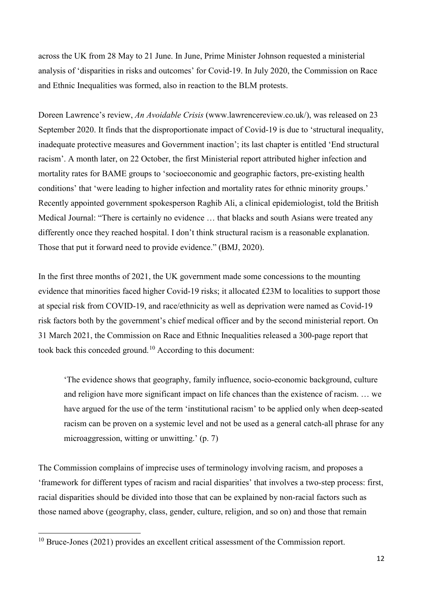across the UK from 28 May to 21 June. In June, Prime Minister Johnson requested a ministerial analysis of 'disparities in risks and outcomes' for Covid-19. In July 2020, the Commission on Race and Ethnic Inequalities was formed, also in reaction to the BLM protests.

Doreen Lawrence's review, *An Avoidable Crisis* (www.lawrencereview.co.uk/), was released on 23 September 2020. It finds that the disproportionate impact of Covid-19 is due to 'structural inequality, inadequate protective measures and Government inaction'; its last chapter is entitled 'End structural racism'. A month later, on 22 October, the first Ministerial report attributed higher infection and mortality rates for BAME groups to 'socioeconomic and geographic factors, pre-existing health conditions' that 'were leading to higher infection and mortality rates for ethnic minority groups.' Recently appointed government spokesperson Raghib Ali, a clinical epidemiologist, told the British Medical Journal: "There is certainly no evidence … that blacks and south Asians were treated any differently once they reached hospital. I don't think structural racism is a reasonable explanation. Those that put it forward need to provide evidence." (BMJ, 2020).

In the first three months of 2021, the UK government made some concessions to the mounting evidence that minorities faced higher Covid-19 risks; it allocated £23M to localities to support those at special risk from COVID-19, and race/ethnicity as well as deprivation were named as Covid-19 risk factors both by the government's chief medical officer and by the second ministerial report. On 31 March 2021, the Commission on Race and Ethnic Inequalities released a 300-page report that took back this conceded ground.<sup>[10](#page-11-0)</sup> According to this document:

'The evidence shows that geography, family influence, socio-economic background, culture and religion have more significant impact on life chances than the existence of racism. … we have argued for the use of the term 'institutional racism' to be applied only when deep-seated racism can be proven on a systemic level and not be used as a general catch-all phrase for any microaggression, witting or unwitting.' (p. 7)

The Commission complains of imprecise uses of terminology involving racism, and proposes a 'framework for different types of racism and racial disparities' that involves a two-step process: first, racial disparities should be divided into those that can be explained by non-racial factors such as those named above (geography, class, gender, culture, religion, and so on) and those that remain

<u>.</u>

<span id="page-11-0"></span><sup>&</sup>lt;sup>10</sup> Bruce-Jones (2021) provides an excellent critical assessment of the Commission report.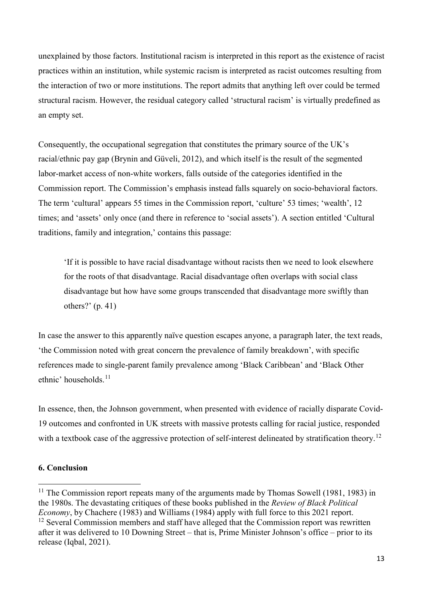unexplained by those factors. Institutional racism is interpreted in this report as the existence of racist practices within an institution, while systemic racism is interpreted as racist outcomes resulting from the interaction of two or more institutions. The report admits that anything left over could be termed structural racism. However, the residual category called 'structural racism' is virtually predefined as an empty set.

Consequently, the occupational segregation that constitutes the primary source of the UK's racial/ethnic pay gap (Brynin and Güveli, 2012), and which itself is the result of the segmented labor-market access of non-white workers, falls outside of the categories identified in the Commission report. The Commission's emphasis instead falls squarely on socio-behavioral factors. The term 'cultural' appears 55 times in the Commission report, 'culture' 53 times; 'wealth', 12 times; and 'assets' only once (and there in reference to 'social assets'). A section entitled 'Cultural traditions, family and integration,' contains this passage:

'If it is possible to have racial disadvantage without racists then we need to look elsewhere for the roots of that disadvantage. Racial disadvantage often overlaps with social class disadvantage but how have some groups transcended that disadvantage more swiftly than others?' (p. 41)

In case the answer to this apparently naïve question escapes anyone, a paragraph later, the text reads, 'the Commission noted with great concern the prevalence of family breakdown', with specific references made to single-parent family prevalence among 'Black Caribbean' and 'Black Other ethnic' households. [11](#page-12-0)

In essence, then, the Johnson government, when presented with evidence of racially disparate Covid-19 outcomes and confronted in UK streets with massive protests calling for racial justice, responded with a textbook case of the aggressive protection of self-interest delineated by stratification theory.<sup>[12](#page-12-1)</sup>

## **6. Conclusion**

<u>.</u>

<span id="page-12-1"></span><span id="page-12-0"></span> $11$  The Commission report repeats many of the arguments made by Thomas Sowell (1981, 1983) in the 1980s. The devastating critiques of these books published in the *Review of Black Political Economy*, by Chachere (1983) and Williams (1984) apply with full force to this 2021 report.  $12$  Several Commission members and staff have alleged that the Commission report was rewritten after it was delivered to 10 Downing Street – that is, Prime Minister Johnson's office – prior to its release (Iqbal, 2021).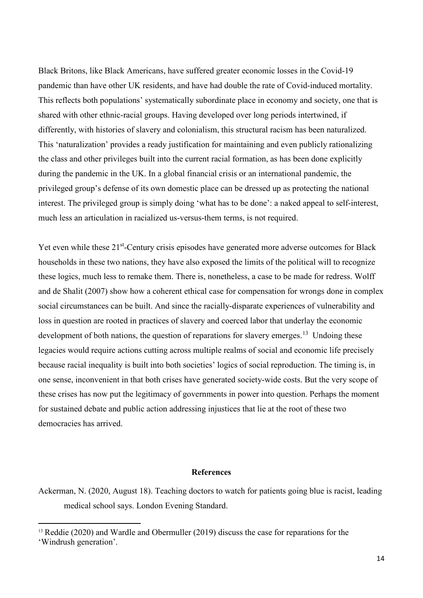Black Britons, like Black Americans, have suffered greater economic losses in the Covid-19 pandemic than have other UK residents, and have had double the rate of Covid-induced mortality. This reflects both populations' systematically subordinate place in economy and society, one that is shared with other ethnic-racial groups. Having developed over long periods intertwined, if differently, with histories of slavery and colonialism, this structural racism has been naturalized. This 'naturalization' provides a ready justification for maintaining and even publicly rationalizing the class and other privileges built into the current racial formation, as has been done explicitly during the pandemic in the UK. In a global financial crisis or an international pandemic, the privileged group's defense of its own domestic place can be dressed up as protecting the national interest. The privileged group is simply doing 'what has to be done': a naked appeal to self-interest, much less an articulation in racialized us-versus-them terms, is not required.

Yet even while these 21<sup>st</sup>-Century crisis episodes have generated more adverse outcomes for Black households in these two nations, they have also exposed the limits of the political will to recognize these logics, much less to remake them. There is, nonetheless, a case to be made for redress. Wolff and de Shalit (2007) show how a coherent ethical case for compensation for wrongs done in complex social circumstances can be built. And since the racially-disparate experiences of vulnerability and loss in question are rooted in practices of slavery and coerced labor that underlay the economic development of both nations, the question of reparations for slavery emerges.<sup>[13](#page-13-0)</sup> Undoing these legacies would require actions cutting across multiple realms of social and economic life precisely because racial inequality is built into both societies' logics of social reproduction. The timing is, in one sense, inconvenient in that both crises have generated society-wide costs. But the very scope of these crises has now put the legitimacy of governments in power into question. Perhaps the moment for sustained debate and public action addressing injustices that lie at the root of these two democracies has arrived.

#### **References**

 $\overline{\phantom{a}}$ 

Ackerman, N. (2020, August 18). Teaching doctors to watch for patients going blue is racist, leading medical school says. London Evening Standard.

<span id="page-13-0"></span><sup>&</sup>lt;sup>13</sup> Reddie (2020) and Wardle and Obermuller (2019) discuss the case for reparations for the 'Windrush generation'.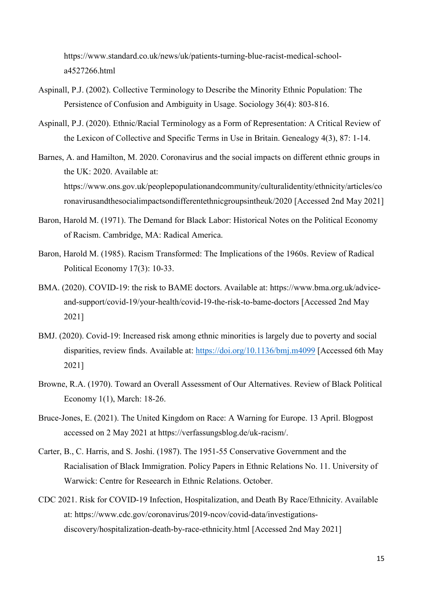https://www.standard.co.uk/news/uk/patients-turning-blue-racist-medical-schoola4527266.html

- Aspinall, P.J. (2002). Collective Terminology to Describe the Minority Ethnic Population: The Persistence of Confusion and Ambiguity in Usage. Sociology 36(4): 803-816.
- Aspinall, P.J. (2020). Ethnic/Racial Terminology as a Form of Representation: A Critical Review of the Lexicon of Collective and Specific Terms in Use in Britain. Genealogy 4(3), 87: 1-14.
- Barnes, A. and Hamilton, M. 2020. Coronavirus and the social impacts on different ethnic groups in the UK: 2020. Available at: https://www.ons.gov.uk/peoplepopulationandcommunity/culturalidentity/ethnicity/articles/co ronavirusandthesocialimpactsondifferentethnicgroupsintheuk/2020 [Accessed 2nd May 2021]
- Baron, Harold M. (1971). The Demand for Black Labor: Historical Notes on the Political Economy of Racism. Cambridge, MA: Radical America.
- Baron, Harold M. (1985). Racism Transformed: The Implications of the 1960s. Review of Radical Political Economy 17(3): 10-33.
- BMA. (2020). COVID-19: the risk to BAME doctors. Available at: https://www.bma.org.uk/adviceand-support/covid-19/your-health/covid-19-the-risk-to-bame-doctors [Accessed 2nd May 2021]
- BMJ. (2020). Covid-19: Increased risk among ethnic minorities is largely due to poverty and social disparities, review finds. Available at:<https://doi.org/10.1136/bmj.m4099> [Accessed 6th May 2021]
- Browne, R.A. (1970). Toward an Overall Assessment of Our Alternatives. Review of Black Political Economy 1(1), March: 18-26.
- Bruce-Jones, E. (2021). The United Kingdom on Race: A Warning for Europe. 13 April. Blogpost accessed on 2 May 2021 at https://verfassungsblog.de/uk-racism/.
- Carter, B., C. Harris, and S. Joshi. (1987). The 1951-55 Conservative Government and the Racialisation of Black Immigration. Policy Papers in Ethnic Relations No. 11. University of Warwick: Centre for Reseearch in Ethnic Relations. October.
- CDC 2021. Risk for COVID-19 Infection, Hospitalization, and Death By Race/Ethnicity. Available at: https://www.cdc.gov/coronavirus/2019-ncov/covid-data/investigationsdiscovery/hospitalization-death-by-race-ethnicity.html [Accessed 2nd May 2021]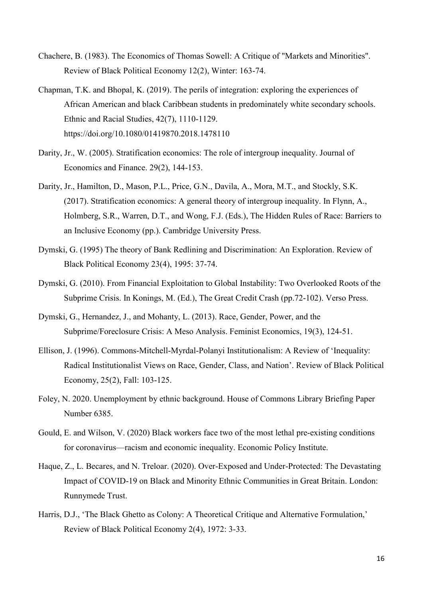- Chachere, B. (1983). The Economics of Thomas Sowell: A Critique of "Markets and Minorities". Review of Black Political Economy 12(2), Winter: 163-74.
- Chapman, T.K. and Bhopal, K. (2019). The perils of integration: exploring the experiences of African American and black Caribbean students in predominately white secondary schools. Ethnic and Racial Studies, 42(7), 1110-1129. https://doi.org/10.1080/01419870.2018.1478110
- Darity, Jr., W. (2005). Stratification economics: The role of intergroup inequality. Journal of Economics and Finance. 29(2), 144-153.
- Darity, Jr., Hamilton, D., Mason, P.L., Price, G.N., Davila, A., Mora, M.T., and Stockly, S.K. (2017). Stratification economics: A general theory of intergroup inequality. In Flynn, A., Holmberg, S.R., Warren, D.T., and Wong, F.J. (Eds.), The Hidden Rules of Race: Barriers to an Inclusive Economy (pp.). Cambridge University Press.
- Dymski, G. (1995) The theory of Bank Redlining and Discrimination: An Exploration. Review of Black Political Economy 23(4), 1995: 37-74.
- Dymski, G. (2010). From Financial Exploitation to Global Instability: Two Overlooked Roots of the Subprime Crisis. In Konings, M. (Ed.), The Great Credit Crash (pp.72-102). Verso Press.
- Dymski, G., Hernandez, J., and Mohanty, L. (2013). Race, Gender, Power, and the Subprime/Foreclosure Crisis: A Meso Analysis. Feminist Economics, 19(3), 124-51.
- Ellison, J. (1996). Commons-Mitchell-Myrdal-Polanyi Institutionalism: A Review of 'Inequality: Radical Institutionalist Views on Race, Gender, Class, and Nation'. Review of Black Political Economy, 25(2), Fall: 103-125.
- Foley, N. 2020. Unemployment by ethnic background. House of Commons Library Briefing Paper Number 6385.
- Gould, E. and Wilson, V. (2020) Black workers face two of the most lethal pre-existing conditions for coronavirus—racism and economic inequality. Economic Policy Institute.
- Haque, Z., L. Becares, and N. Treloar. (2020). Over-Exposed and Under-Protected: The Devastating Impact of COVID-19 on Black and Minority Ethnic Communities in Great Britain. London: Runnymede Trust.
- Harris, D.J., 'The Black Ghetto as Colony: A Theoretical Critique and Alternative Formulation,' Review of Black Political Economy 2(4), 1972: 3-33.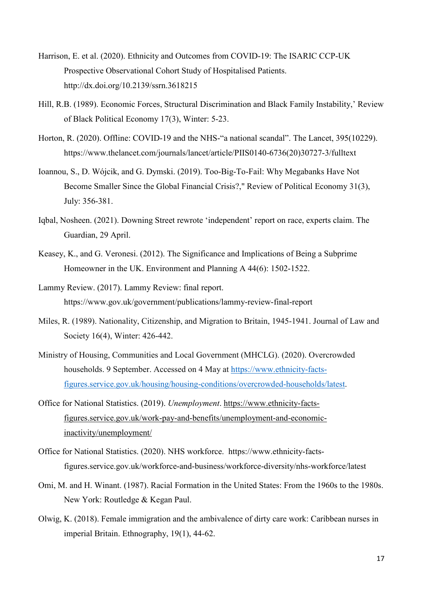- Harrison, E. et al. (2020). Ethnicity and Outcomes from COVID-19: The ISARIC CCP-UK Prospective Observational Cohort Study of Hospitalised Patients. http://dx.doi.org/10.2139/ssrn.3618215
- Hill, R.B. (1989). Economic Forces, Structural Discrimination and Black Family Instability,' Review of Black Political Economy 17(3), Winter: 5-23.
- Horton, R. (2020). Offline: COVID-19 and the NHS-"a national scandal". The Lancet, 395(10229). https://www.thelancet.com/journals/lancet/article/PIIS0140-6736(20)30727-3/fulltext
- Ioannou, S., D. Wójcik, and G. Dymski. (2019). Too-Big-To-Fail: Why Megabanks Have Not Become Smaller Since the Global Financial Crisis?," Review of Political Economy 31(3), July: 356-381.
- Iqbal, Nosheen. (2021). Downing Street rewrote 'independent' report on race, experts claim. The Guardian, 29 April.
- Keasey, K., and G. Veronesi. (2012). The Significance and Implications of Being a Subprime Homeowner in the UK. Environment and Planning A 44(6): 1502-1522.
- Lammy Review. (2017). Lammy Review: final report. https://www.gov.uk/government/publications/lammy-review-final-report
- Miles, R. (1989). Nationality, Citizenship, and Migration to Britain, 1945-1941. Journal of Law and Society 16(4), Winter: 426-442.
- Ministry of Housing, Communities and Local Government (MHCLG). (2020). Overcrowded households. 9 September. Accessed on 4 May at [https://www.ethnicity-facts](https://www.ethnicity-facts-figures.service.gov.uk/housing/housing-conditions/overcrowded-households/latest)[figures.service.gov.uk/housing/housing-conditions/overcrowded-households/latest.](https://www.ethnicity-facts-figures.service.gov.uk/housing/housing-conditions/overcrowded-households/latest)
- Office for National Statistics. (2019). *Unemployment*. [https://www.ethnicity-facts](https://www.ethnicity-facts-figures.service.gov.uk/work-pay-and-benefits/unemployment-and-economic-inactivity/unemployment/latest#by-ethnicity)[figures.service.gov.uk/work-pay-and-benefits/unemployment-and-economic](https://www.ethnicity-facts-figures.service.gov.uk/work-pay-and-benefits/unemployment-and-economic-inactivity/unemployment/latest#by-ethnicity)[inactivity/unemployment/](https://www.ethnicity-facts-figures.service.gov.uk/work-pay-and-benefits/unemployment-and-economic-inactivity/unemployment/latest#by-ethnicity)
- Office for National Statistics. (2020). NHS workforce. https://www.ethnicity-factsfigures.service.gov.uk/workforce-and-business/workforce-diversity/nhs-workforce/latest
- Omi, M. and H. Winant. (1987). Racial Formation in the United States: From the 1960s to the 1980s. New York: Routledge & Kegan Paul.
- Olwig, K. (2018). Female immigration and the ambivalence of dirty care work: Caribbean nurses in imperial Britain. Ethnography, 19(1), 44-62.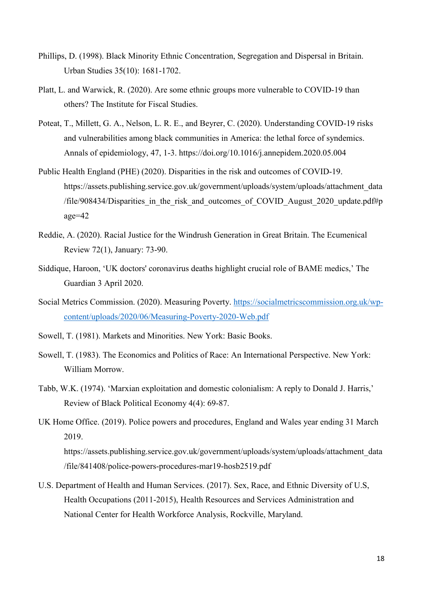- Phillips, D. (1998). Black Minority Ethnic Concentration, Segregation and Dispersal in Britain. Urban Studies 35(10): 1681-1702.
- Platt, L. and Warwick, R. (2020). Are some ethnic groups more vulnerable to COVID-19 than others? The Institute for Fiscal Studies.
- Poteat, T., Millett, G. A., Nelson, L. R. E., and Beyrer, C. (2020). Understanding COVID-19 risks and vulnerabilities among black communities in America: the lethal force of syndemics. Annals of epidemiology, 47, 1-3. https://doi.org/10.1016/j.annepidem.2020.05.004
- Public Health England (PHE) (2020). Disparities in the risk and outcomes of COVID-19. https://assets.publishing.service.gov.uk/government/uploads/system/uploads/attachment\_data /file/908434/Disparities in the risk and outcomes of COVID August  $2020$  update.pdf#p age=42
- Reddie, A. (2020). Racial Justice for the Windrush Generation in Great Britain. The Ecumenical Review 72(1), January: 73-90.
- Siddique, Haroon, 'UK doctors' coronavirus deaths highlight crucial role of BAME medics,' The Guardian 3 April 2020.
- Social Metrics Commission. (2020). Measuring Poverty. [https://socialmetricscommission.org.uk/wp](https://socialmetricscommission.org.uk/wp-content/uploads/2020/06/Measuring-Poverty-2020-Web.pdf)[content/uploads/2020/06/Measuring-Poverty-2020-Web.pdf](https://socialmetricscommission.org.uk/wp-content/uploads/2020/06/Measuring-Poverty-2020-Web.pdf)
- Sowell, T. (1981). Markets and Minorities. New York: Basic Books.
- Sowell, T. (1983). The Economics and Politics of Race: An International Perspective. New York: William Morrow.
- Tabb, W.K. (1974). 'Marxian exploitation and domestic colonialism: A reply to Donald J. Harris,' Review of Black Political Economy 4(4): 69-87.
- UK Home Office. (2019). Police powers and procedures, England and Wales year ending 31 March 2019.

https://assets.publishing.service.gov.uk/government/uploads/system/uploads/attachment\_data /file/841408/police-powers-procedures-mar19-hosb2519.pdf

U.S. Department of Health and Human Services. (2017). Sex, Race, and Ethnic Diversity of U.S, Health Occupations (2011-2015), Health Resources and Services Administration and National Center for Health Workforce Analysis, Rockville, Maryland.